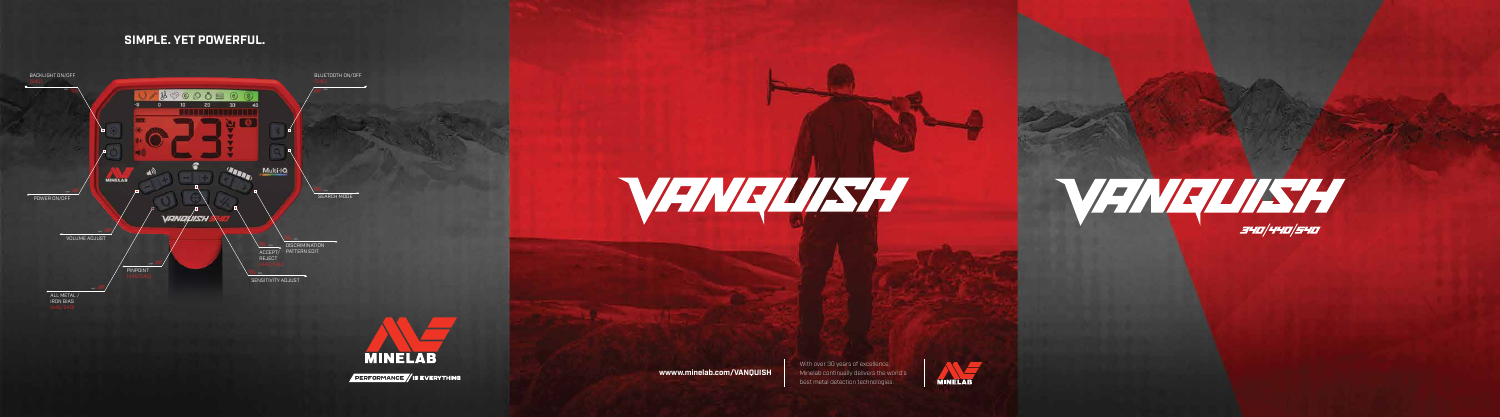**wwww.minelab.com/VANQUISH**











## **SIMPLE. YET POWERFUL.**

With over 30 years of excellence, Minelab continually delivers the world's best metal detection technologies.